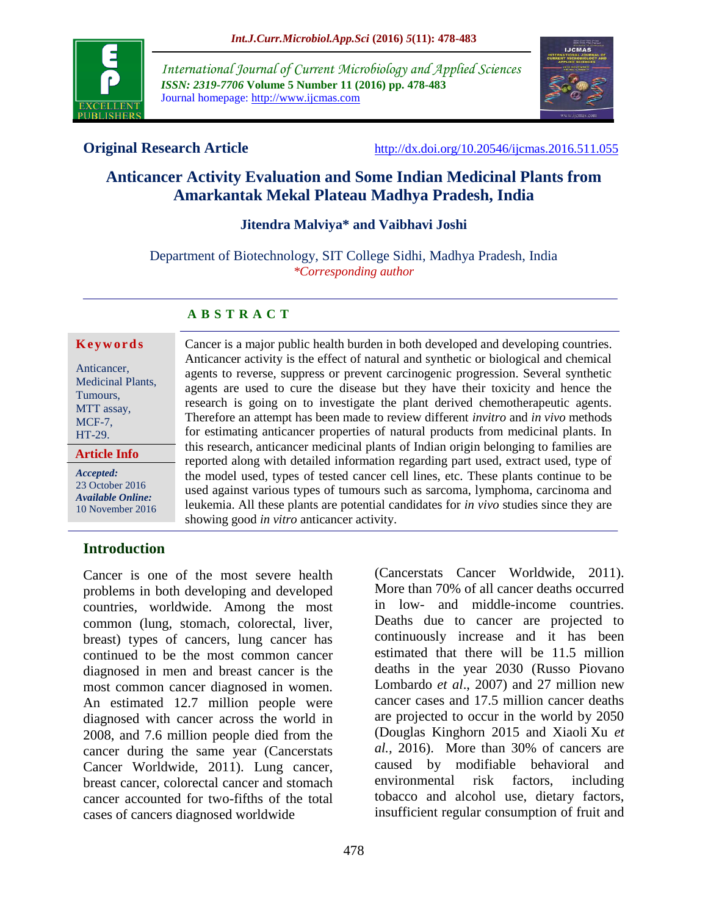

*International Journal of Current Microbiology and Applied Sciences ISSN: 2319-7706* **Volume 5 Number 11 (2016) pp. 478-483** Journal homepage: http://www.ijcmas.com



**Original Research Article** <http://dx.doi.org/10.20546/ijcmas.2016.511.055>

# **Anticancer Activity Evaluation and Some Indian Medicinal Plants from Amarkantak Mekal Plateau Madhya Pradesh, India**

## **Jitendra Malviya\* and Vaibhavi Joshi**

Department of Biotechnology, SIT College Sidhi, Madhya Pradesh, India *\*Corresponding author*

#### **A B S T R A C T**

#### **K e y w o r d s**

Anticancer, Medicinal Plants, Tumours, MTT assay, MCF-7, HT-29.

#### **Article Info**

*Accepted:*  23 October 2016 *Available Online:* 10 November 2016 Anticancer activity is the effect of natural and synthetic or biological and chemical agents to reverse, suppress or prevent carcinogenic progression. Several synthetic agents are used to cure the disease but they have their toxicity and hence the research is going on to investigate the plant derived chemotherapeutic agents. Therefore an attempt has been made to review different *invitro* and *in vivo* methods for estimating anticancer properties of natural products from medicinal plants. In this research, anticancer medicinal plants of Indian origin belonging to families are reported along with detailed information regarding part used, extract used, type of the model used, types of tested cancer cell lines, etc. These plants continue to be used against various types of tumours such as sarcoma, lymphoma, carcinoma and leukemia. All these plants are potential candidates for *in vivo* studies since they are showing good *in vitro* anticancer activity.

Cancer is a major public health burden in both developed and developing countries.

#### **Introduction**

Cancer is one of the most severe health problems in both developing and developed countries, worldwide. Among the most common (lung, stomach, colorectal, liver, breast) types of cancers, lung cancer has continued to be the most common cancer diagnosed in men and breast cancer is the most common cancer diagnosed in women. An estimated 12.7 million people were diagnosed with cancer across the world in 2008, and 7.6 million people died from the cancer during the same year (Cancerstats Cancer Worldwide, 2011). Lung cancer, breast cancer, colorectal cancer and stomach cancer accounted for two-fifths of the total cases of cancers diagnosed worldwide

(Cancerstats Cancer Worldwide, 2011). More than 70% of all cancer deaths occurred in low- and middle-income countries. Deaths due to cancer are projected to continuously increase and it has been estimated that there will be 11.5 million deaths in the year 2030 (Russo Piovano Lombardo *et al*., 2007) and 27 million new cancer cases and 17.5 million cancer deaths are projected to occur in the world by 2050 [\(Douglas Kinghorn](http://pubs.acs.org/author/Kinghorn%2C+A+Douglas) 2015 and Xiaoli Xu *et al.,* 2016). More than 30% of cancers are caused by modifiable behavioral and environmental risk factors, including tobacco and alcohol use, dietary factors, insufficient regular consumption of fruit and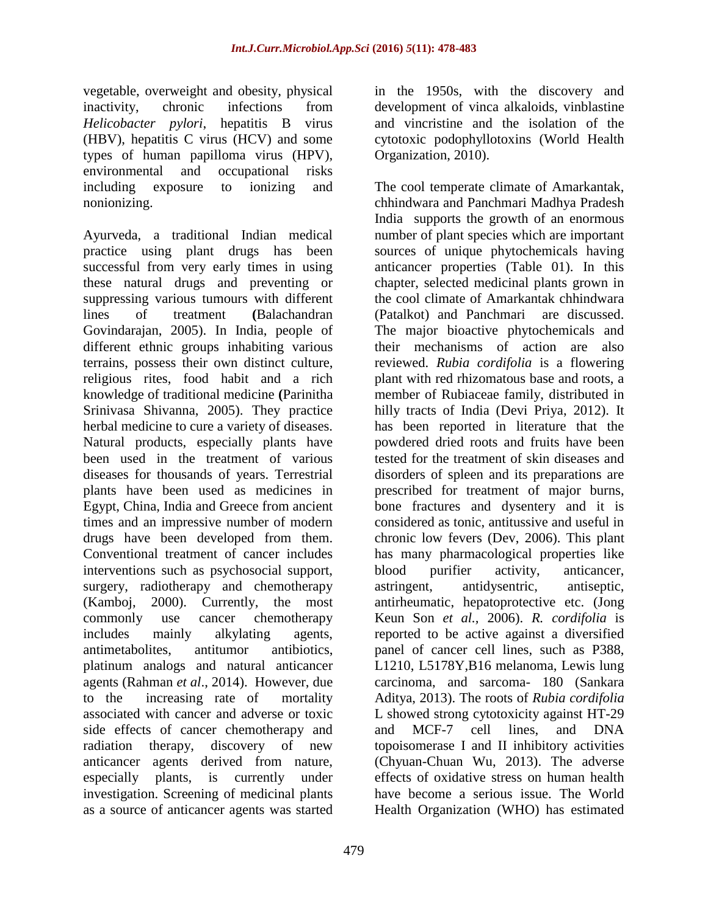vegetable, overweight and obesity, physical inactivity, chronic infections from *Helicobacter pylori*, hepatitis B virus (HBV), hepatitis C virus (HCV) and some types of human papilloma virus (HPV), environmental and occupational risks including exposure to ionizing and nonionizing.

Ayurveda, a traditional Indian medical practice using plant drugs has been successful from very early times in using these natural drugs and preventing or suppressing various tumours with different lines of treatment **(**Balachandran Govindarajan, 2005). In India, people of different ethnic groups inhabiting various terrains, possess their own distinct culture, religious rites, food habit and a rich knowledge of traditional medicine **(**Parinitha Srinivasa Shivanna, 2005). They practice herbal medicine to cure a variety of diseases. Natural products, especially plants have been used in the treatment of various diseases for thousands of years. Terrestrial plants have been used as medicines in Egypt, China, India and Greece from ancient times and an impressive number of modern drugs have been developed from them. Conventional treatment of cancer includes interventions such as psychosocial support, surgery, radiotherapy and chemotherapy (Kamboj, 2000). Currently, the most commonly use cancer chemotherapy includes mainly alkylating agents, antimetabolites, antitumor antibiotics, platinum analogs and natural anticancer agents (Rahman *et al*., 2014). However, due to the increasing rate of mortality associated with cancer and adverse or toxic side effects of cancer chemotherapy and radiation therapy, discovery of new anticancer agents derived from nature, especially plants, is currently under investigation. Screening of medicinal plants as a source of anticancer agents was started

in the 1950s, with the discovery and development of vinca alkaloids, vinblastine and vincristine and the isolation of the cytotoxic podophyllotoxins (World Health Organization, 2010).

The cool temperate climate of Amarkantak, chhindwara and Panchmari Madhya Pradesh India supports the growth of an enormous number of plant species which are important sources of unique phytochemicals having anticancer properties (Table 01). In this chapter, selected medicinal plants grown in the cool climate of Amarkantak chhindwara (Patalkot) and Panchmari are discussed. The major bioactive phytochemicals and their mechanisms of action are also reviewed. *Rubia cordifolia* is a flowering plant with red rhizomatous base and roots, a member of Rubiaceae family, distributed in hilly tracts of India (Devi Priya, 2012). It has been reported in literature that the powdered dried roots and fruits have been tested for the treatment of skin diseases and disorders of spleen and its preparations are prescribed for treatment of major burns, bone fractures and dysentery and it is considered as tonic, antitussive and useful in chronic low fevers (Dev, 2006). This plant has many pharmacological properties like blood purifier activity, anticancer, astringent, antidysentric, antiseptic, antirheumatic, hepatoprotective etc. (Jong Keun Son *et al.,* 2006). *R. cordifolia* is reported to be active against a diversified panel of cancer cell lines, such as P388, L1210, L5178Y,B16 melanoma, Lewis lung carcinoma, and sarcoma- 180 (Sankara Aditya, 2013). The roots of *Rubia cordifolia*  L showed strong cytotoxicity against HT-29 and MCF-7 cell lines, and DNA topoisomerase I and II inhibitory activities [\(Chyuan-Chuan Wu,](http://nar.oxfordjournals.org/search?author1=Chyuan-Chuan+Wu&sortspec=date&submit=Submit) 2013). The adverse effects of oxidative stress on human health have become a serious issue. The World Health Organization (WHO) has estimated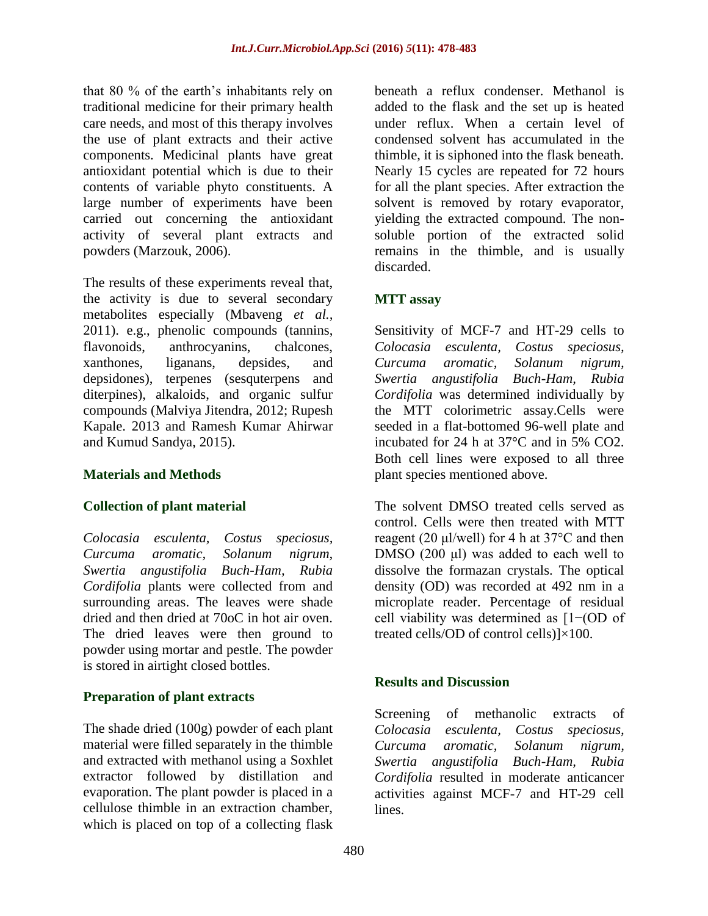that 80 % of the earth's inhabitants rely on traditional medicine for their primary health care needs, and most of this therapy involves the use of plant extracts and their active components. Medicinal plants have great antioxidant potential which is due to their contents of variable phyto constituents. A large number of experiments have been carried out concerning the antioxidant activity of several plant extracts and powders (Marzouk, 2006).

The results of these experiments reveal that, the activity is due to several secondary metabolites especially (Mbaveng *et al.,* 2011). e.g., phenolic compounds (tannins, flavonoids, anthrocyanins, chalcones, xanthones, liganans, depsides, and depsidones), terpenes (sesquterpens and diterpines), alkaloids, and organic sulfur compounds (Malviya Jitendra, 2012; Rupesh Kapale. 2013 and Ramesh Kumar Ahirwar and Kumud Sandya, 2015).

## **Materials and Methods**

## **Collection of plant material**

*Colocasia esculenta, Costus speciosus, Curcuma aromatic, Solanum nigrum, Swertia angustifolia Buch-Ham, Rubia Cordifolia* plants were collected from and surrounding areas. The leaves were shade dried and then dried at 70oC in hot air oven. The dried leaves were then ground to powder using mortar and pestle. The powder is stored in airtight closed bottles.

## **Preparation of plant extracts**

The shade dried (100g) powder of each plant material were filled separately in the thimble and extracted with methanol using a Soxhlet extractor followed by distillation and evaporation. The plant powder is placed in a cellulose thimble in an extraction chamber, which is placed on top of a collecting flask

beneath a reflux condenser. Methanol is added to the flask and the set up is heated under reflux. When a certain level of condensed solvent has accumulated in the thimble, it is siphoned into the flask beneath. Nearly 15 cycles are repeated for 72 hours for all the plant species. After extraction the solvent is removed by rotary evaporator, yielding the extracted compound. The nonsoluble portion of the extracted solid remains in the thimble, and is usually discarded.

## **MTT assay**

Sensitivity of MCF-7 and HT-29 cells to *Colocasia esculenta, Costus speciosus, Curcuma aromatic, Solanum nigrum, Swertia angustifolia Buch-Ham, Rubia Cordifolia* was determined individually by the MTT colorimetric assay.Cells were seeded in a flat-bottomed 96-well plate and incubated for 24 h at 37°C and in 5% CO2. Both cell lines were exposed to all three plant species mentioned above.

The solvent DMSO treated cells served as control. Cells were then treated with MTT reagent (20  $\mu$ l/well) for 4 h at 37 $\degree$ C and then DMSO (200 μl) was added to each well to dissolve the formazan crystals. The optical density (OD) was recorded at 492 nm in a microplate reader. Percentage of residual cell viability was determined as [1−(OD of treated cells/OD of control cells)]×100.

## **Results and Discussion**

Screening of methanolic extracts of *Colocasia esculenta, Costus speciosus, Curcuma aromatic, Solanum nigrum, Swertia angustifolia Buch-Ham, Rubia Cordifolia* resulted in moderate anticancer activities against MCF-7 and HT-29 cell lines.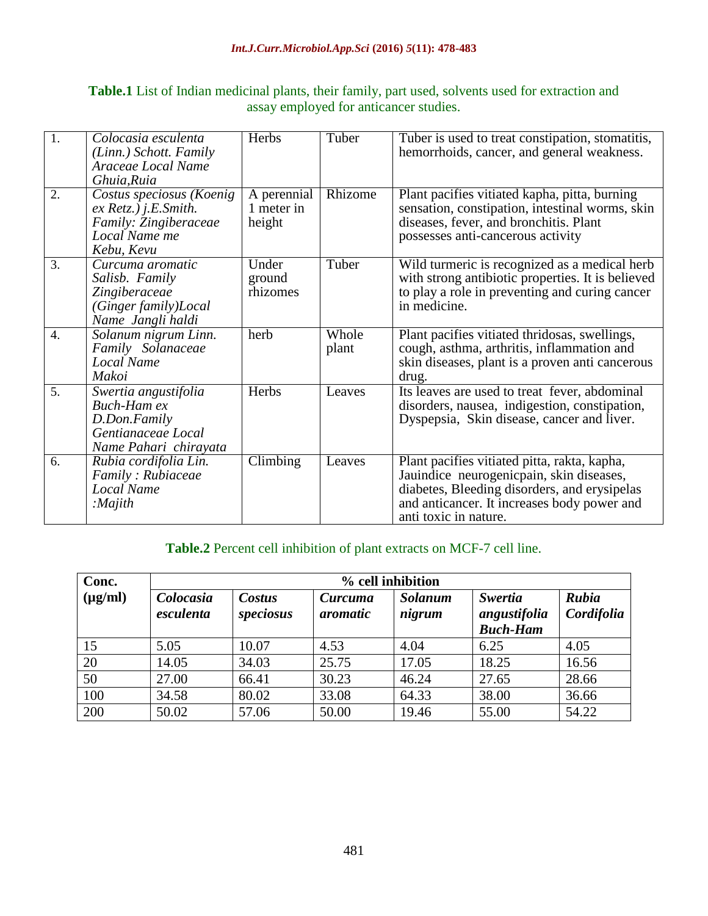| <b>Table.1</b> List of Indian medicinal plants, their family, part used, solvents used for extraction and |  |  |  |  |  |  |  |
|-----------------------------------------------------------------------------------------------------------|--|--|--|--|--|--|--|
| assay employed for anticancer studies.                                                                    |  |  |  |  |  |  |  |

| $\overline{1}$ . | Colocasia esculenta<br>(Linn.) Schott. Family<br>Araceae Local Name<br>Ghuia, Ruia                         | Herbs                               | Tuber          | Tuber is used to treat constipation, stomatitis,<br>hemorrhoids, cancer, and general weakness.                                                                                                                   |
|------------------|------------------------------------------------------------------------------------------------------------|-------------------------------------|----------------|------------------------------------------------------------------------------------------------------------------------------------------------------------------------------------------------------------------|
| 2.               | Costus speciosus (Koenig<br>$ex$ Retz.) j.E.Smith.<br>Family: Zingiberaceae<br>Local Name me<br>Kebu, Kevu | A perennial<br>1 meter in<br>height | Rhizome        | Plant pacifies vitiated kapha, pitta, burning<br>sensation, constipation, intestinal worms, skin<br>diseases, fever, and bronchitis. Plant<br>possesses anti-cancerous activity                                  |
| 3.               | Curcuma aromatic<br>Salisb. Family<br>Zingiberaceae<br>(Ginger family)Local<br>Name Jangli haldi           | Under<br>ground<br>rhizomes         | Tuber          | Wild turmeric is recognized as a medical herb<br>with strong antibiotic properties. It is believed<br>to play a role in preventing and curing cancer<br>in medicine.                                             |
| $\overline{4}$ . | Solanum nigrum Linn.<br>Family Solanaceae<br>Local Name<br>Makoi                                           | herb                                | Whole<br>plant | Plant pacifies vitiated thridosas, swellings,<br>cough, asthma, arthritis, inflammation and<br>skin diseases, plant is a proven anti cancerous<br>drug.                                                          |
| 5.               | Swertia angustifolia<br><b>Buch-Ham ex</b><br>D.Don.Family<br>Gentianaceae Local<br>Name Pahari chirayata  | Herbs                               | Leaves         | Its leaves are used to treat fever, abdominal<br>disorders, nausea, indigestion, constipation,<br>Dyspepsia, Skin disease, cancer and liver.                                                                     |
| 6.               | Rubia cordifolia Lin.<br>Family: Rubiaceae<br><b>Local Name</b><br>:Majith                                 | Climbing                            | Leaves         | Plant pacifies vitiated pitta, rakta, kapha,<br>Jauindice neurogenicpain, skin diseases,<br>diabetes, Bleeding disorders, and erysipelas<br>and anticancer. It increases body power and<br>anti toxic in nature. |

# **Table.2** Percent cell inhibition of plant extracts on MCF-7 cell line.

| Conc.        | % cell inhibition      |                     |                     |                          |                                                   |                     |  |  |
|--------------|------------------------|---------------------|---------------------|--------------------------|---------------------------------------------------|---------------------|--|--|
| $(\mu g/ml)$ | Colocasia<br>esculenta | Costus<br>speciosus | Curcuma<br>aromatic | <b>Solanum</b><br>nigrum | <b>Swertia</b><br>angustifolia<br><b>Buch-Ham</b> | Rubia<br>Cordifolia |  |  |
| 15           | 5.05                   | 10.07               | 4.53                | 4.04                     | 6.25                                              | 4.05                |  |  |
| 20           | 14.05                  | 34.03               | 25.75               | 17.05                    | 18.25                                             | 16.56               |  |  |
| 50           | 27.00                  | 66.41               | 30.23               | 46.24                    | 27.65                                             | 28.66               |  |  |
| 100          | 34.58                  | 80.02               | 33.08               | 64.33                    | 38.00                                             | 36.66               |  |  |
| 200          | 50.02                  | 57.06               | 50.00               | 19.46                    | 55.00                                             | 54.22               |  |  |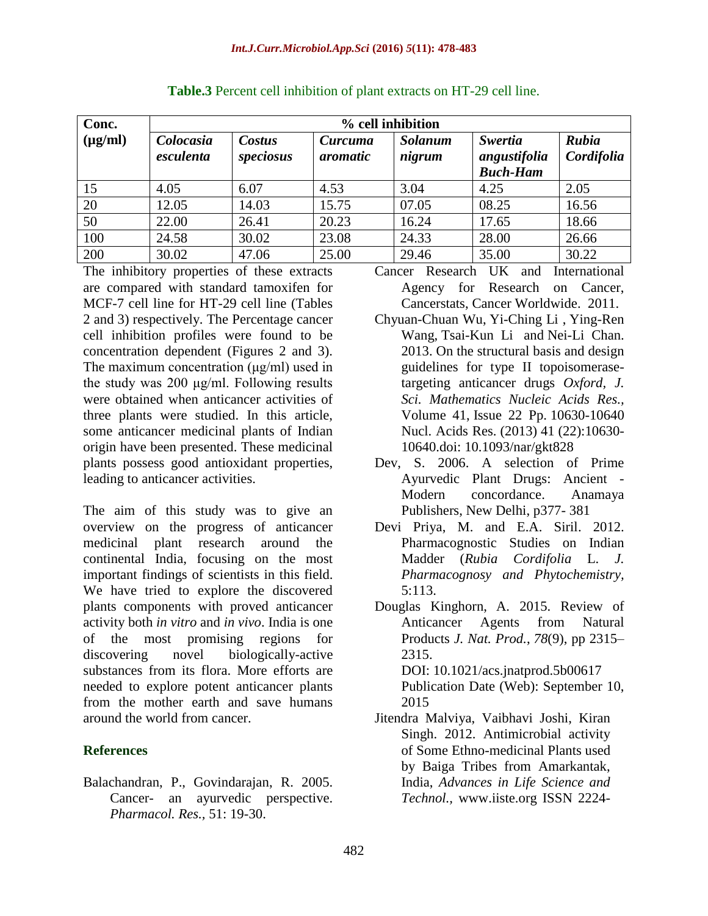| Conc.        | % cell inhibition      |                     |                     |                          |                                                   |                     |
|--------------|------------------------|---------------------|---------------------|--------------------------|---------------------------------------------------|---------------------|
| $(\mu g/ml)$ | Colocasia<br>esculenta | Costus<br>speciosus | Curcuma<br>aromatic | <b>Solanum</b><br>nigrum | <b>Swertia</b><br>angustifolia<br><b>Buch-Ham</b> | Rubia<br>Cordifolia |
| 15           | 4.05                   | 6.07                | 4.53                | 3.04                     | 4.25                                              | 2.05                |
| 20           | 12.05                  | 14.03               | 15.75               | 07.05                    | 08.25                                             | 16.56               |
| 50           | 22.00                  | 26.41               | 20.23               | 16.24                    | 17.65                                             | 18.66               |
| 100          | 24.58                  | 30.02               | 23.08               | 24.33                    | 28.00                                             | 26.66               |
| 200          | 30.02                  | 47.06               | 25.00               | 29.46                    | 35.00                                             | 30.22               |

The inhibitory properties of these extracts are compared with standard tamoxifen for MCF-7 cell line for HT-29 cell line (Tables 2 and 3) respectively. The Percentage cancer cell inhibition profiles were found to be concentration dependent (Figures 2 and 3). The maximum concentration (μg/ml) used in the study was 200 μg/ml. Following results were obtained when anticancer activities of three plants were studied. In this article, some anticancer medicinal plants of Indian origin have been presented. These medicinal plants possess good antioxidant properties, leading to anticancer activities.

The aim of this study was to give an overview on the progress of anticancer medicinal plant research around the continental India, focusing on the most important findings of scientists in this field. We have tried to explore the discovered plants components with proved anticancer activity both *in vitro* and *in vivo*. India is one of the most promising regions for discovering novel biologically-active substances from its flora. More efforts are needed to explore potent anticancer plants from the mother earth and save humans around the world from cancer.

## **References**

Balachandran, P., Govindarajan, R. 2005. Cancer- an ayurvedic perspective. *Pharmacol. Res.,* 51: 19-30.

Cancer Research UK and International Agency for Research on Cancer, Cancerstats, Cancer Worldwide. 2011.

- [Chyuan-Chuan Wu,](http://nar.oxfordjournals.org/search?author1=Chyuan-Chuan+Wu&sortspec=date&submit=Submit) [Yi-Ching Li](http://nar.oxfordjournals.org/search?author1=Yi-Ching+Li&sortspec=date&submit=Submit) , [Ying-Ren](http://nar.oxfordjournals.org/search?author1=Ying-Ren+Wang&sortspec=date&submit=Submit)  [Wang,](http://nar.oxfordjournals.org/search?author1=Ying-Ren+Wang&sortspec=date&submit=Submit) [Tsai-Kun Li](http://nar.oxfordjournals.org/search?author1=Tsai-Kun+Li&sortspec=date&submit=Submit) and [Nei-Li Chan.](http://nar.oxfordjournals.org/search?author1=Nei-Li+Chan&sortspec=date&submit=Submit) 2013. On the structural basis and design guidelines for type II topoisomerasetargeting anticancer drugs *[Oxford,](http://services.oxfordjournals.org/cgi/tslogin?url=http%3A%2F%2Fwww.oxfordjournals.org) J. [Sci. Mathematics](http://www.oxfordjournals.org/subject/mathematics/) [Nucleic Acids Res.](http://nar.oxfordjournals.org/),* [Volume 41,](http://nar.oxfordjournals.org/content/41/22.toc) Issue 22 Pp. 10630-10640 Nucl. Acids Res. (2013) 41 (22):10630- 10640.doi: 10.1093/nar/gkt828
- Dev, S. 2006. A selection of Prime Ayurvedic Plant Drugs: Ancient - Modern concordance. Anamaya Publishers, New Delhi, p377- 381
- Devi Priya, M. and E.A. Siril. 2012. Pharmacognostic Studies on Indian Madder (*Rubia Cordifolia* L. *J. Pharmacognosy and Phytochemistry,* 5:113.

[Douglas Kinghorn,](http://pubs.acs.org/author/Kinghorn%2C+A+Douglas) A. 2015. Review of Anticancer Agents from Natural Products *J. Nat. Prod.*, *78*(9), pp 2315– 2315. DOI: 10.1021/acs.jnatprod.5b00617 Publication Date (Web): September 10, 2015

Jitendra Malviya, Vaibhavi Joshi, Kiran Singh. 2012. Antimicrobial activity of Some Ethno-medicinal Plants used by Baiga Tribes from Amarkantak, India, *Advances in Life Science and Technol.,* www.iiste.org ISSN 2224